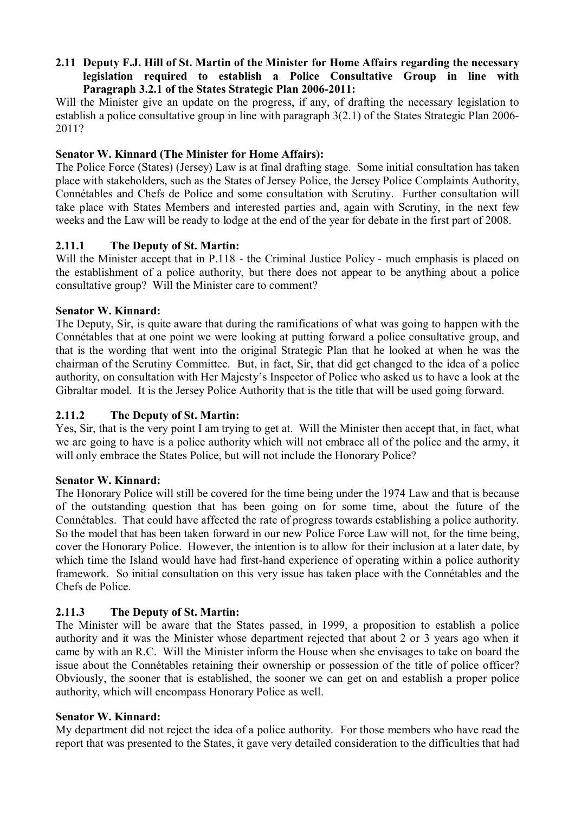#### **2.11 Deputy F.J. Hill of St. Martin of the Minister for Home Affairs regarding the necessary legislation required to establish a Police Consultative Group in line with Paragraph 3.2.1 of the States Strategic Plan 2006-2011:**

Will the Minister give an update on the progress, if any, of drafting the necessary legislation to establish a police consultative group in line with paragraph 3(2.1) of the States Strategic Plan 2006- 2011?

## **Senator W. Kinnard (The Minister for Home Affairs):**

The Police Force (States) (Jersey) Law is at final drafting stage. Some initial consultation has taken place with stakeholders, such as the States of Jersey Police, the Jersey Police Complaints Authority, Connétables and Chefs de Police and some consultation with Scrutiny. Further consultation will take place with States Members and interested parties and, again with Scrutiny, in the next few weeks and the Law will be ready to lodge at the end of the year for debate in the first part of 2008.

## **2.11.1 The Deputy of St. Martin:**

Will the Minister accept that in P.118 - the Criminal Justice Policy - much emphasis is placed on the establishment of a police authority, but there does not appear to be anything about a police consultative group? Will the Minister care to comment?

## **Senator W. Kinnard:**

The Deputy, Sir, is quite aware that during the ramifications of what was going to happen with the Connétables that at one point we were looking at putting forward a police consultative group, and that is the wording that went into the original Strategic Plan that he looked at when he was the chairman of the Scrutiny Committee. But, in fact, Sir, that did get changed to the idea of a police authority, on consultation with Her Majesty's Inspector of Police who asked us to have a look at the Gibraltar model. It is the Jersey Police Authority that is the title that will be used going forward.

# **2.11.2 The Deputy of St. Martin:**

Yes, Sir, that is the very point I am trying to get at. Will the Minister then accept that, in fact, what we are going to have is a police authority which will not embrace all of the police and the army, it will only embrace the States Police, but will not include the Honorary Police?

### **Senator W. Kinnard:**

The Honorary Police will still be covered for the time being under the 1974 Law and that is because of the outstanding question that has been going on for some time, about the future of the Connétables. That could have affected the rate of progress towards establishing a police authority. So the model that has been taken forward in our new Police Force Law will not, for the time being, cover the Honorary Police. However, the intention is to allow for their inclusion at a later date, by which time the Island would have had first-hand experience of operating within a police authority framework. So initial consultation on this very issue has taken place with the Connétables and the Chefs de Police.

# **2.11.3 The Deputy of St. Martin:**

The Minister will be aware that the States passed, in 1999, a proposition to establish a police authority and it was the Minister whose department rejected that about 2 or 3 years ago when it came by with an R.C. Will the Minister inform the House when she envisages to take on board the issue about the Connétables retaining their ownership or possession of the title of police officer? Obviously, the sooner that is established, the sooner we can get on and establish a proper police authority, which will encompass Honorary Police as well.

### **Senator W. Kinnard:**

My department did not reject the idea of a police authority. For those members who have read the report that was presented to the States, it gave very detailed consideration to the difficulties that had